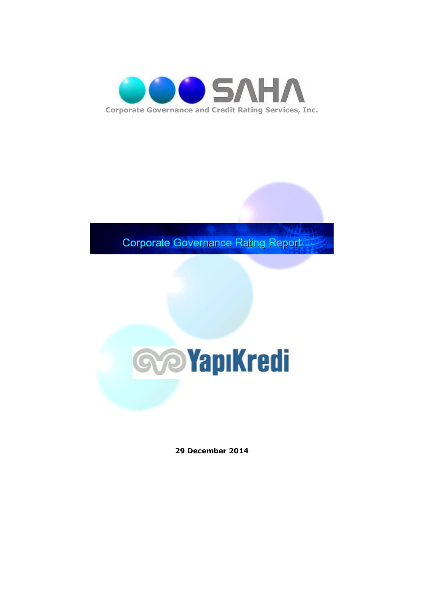

**Corporate Governance Rating Report** 



**29 December 2014**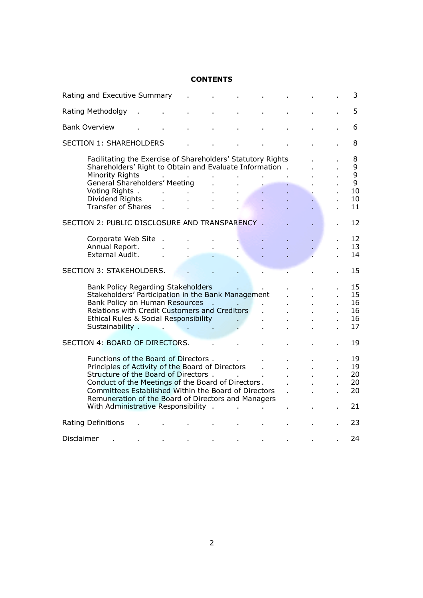# **CONTENTS**

|            | Rating and Executive Summary                                                                                                                                                                                                                                                                                                                  |              |                                          |  |              |  | 3                                  |
|------------|-----------------------------------------------------------------------------------------------------------------------------------------------------------------------------------------------------------------------------------------------------------------------------------------------------------------------------------------------|--------------|------------------------------------------|--|--------------|--|------------------------------------|
|            | Rating Methodolgy                                                                                                                                                                                                                                                                                                                             |              |                                          |  |              |  | 5                                  |
|            | <b>Bank Overview</b>                                                                                                                                                                                                                                                                                                                          |              |                                          |  |              |  | 6                                  |
|            | <b>SECTION 1: SHAREHOLDERS</b>                                                                                                                                                                                                                                                                                                                |              |                                          |  |              |  | 8                                  |
|            | Facilitating the Exercise of Shareholders' Statutory Rights<br>Shareholders' Right to Obtain and Evaluate Information.<br><b>Minority Rights</b><br>General Shareholders' Meeting<br>Voting Rights.<br>Dividend Rights<br><b>Transfer of Shares</b>                                                                                           | $\mathbf{r}$ | à.                                       |  |              |  | 8<br>9<br>9<br>9<br>10<br>10<br>11 |
|            | SECTION 2: PUBLIC DISCLOSURE AND TRANSPARENCY .                                                                                                                                                                                                                                                                                               |              |                                          |  |              |  | 12                                 |
|            | Corporate Web Site .<br>Annual Report.<br>External Audit.                                                                                                                                                                                                                                                                                     |              |                                          |  |              |  | 12<br>13<br>14                     |
|            | <b>SECTION 3: STAKEHOLDERS.</b>                                                                                                                                                                                                                                                                                                               |              |                                          |  |              |  | 15                                 |
|            | Bank Policy Regarding Stakeholders<br>Stakeholders' Participation in the Bank Management<br>Bank Policy on Human Resources<br>Relations with Credit Customers and Creditors<br>Ethical Rules & Social Responsibility<br>Sustainability .                                                                                                      |              | the company's property and the company's |  |              |  | 15<br>15<br>16<br>16<br>16<br>17   |
|            | SECTION 4: BOARD OF DIRECTORS.                                                                                                                                                                                                                                                                                                                |              |                                          |  |              |  | 19                                 |
|            | Functions of the Board of Directors.<br>Principles of Activity of the Board of Directors<br>Structure of the Board of Directors.<br>Conduct of the Meetings of the Board of Directors.<br>Committees Established Within the Board of Directors<br>Remuneration of the Board of Directors and Managers<br>With Administrative Responsibility . |              |                                          |  | $\mathbf{r}$ |  | 19<br>19<br>20<br>20<br>20<br>21   |
|            | Rating Definitions                                                                                                                                                                                                                                                                                                                            |              |                                          |  |              |  | 23                                 |
| Disclaimer |                                                                                                                                                                                                                                                                                                                                               |              |                                          |  |              |  | 24                                 |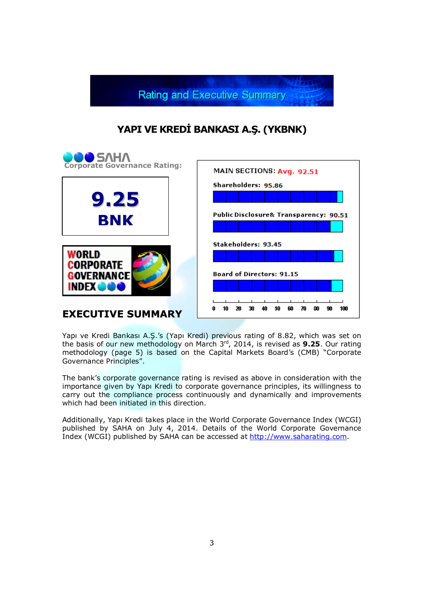

# **YAPI VE KREDİ BANKASI A.Ş. (YKBNK)**



Yapı ve Kredi Bankası A.Ş.'s (Yapı Kredi) previous rating of 8.82, which was set on the basis of our new methodology on March 3<sup>rd</sup>, 2014, is revised as **9.25**. Our rating methodology (page 5) is based on the Capital Markets Board's (CMB) "Corporate Governance Principles".

The bank's corporate governance rating is revised as above in consideration with the importance given by Yapı Kredi to corporate governance principles, its willingness to carry out the compliance process continuously and dynamically and improvements which had been initiated in this direction.

Additionally, Yapı Kredi takes place in the World Corporate Governance Index (WCGI) published by SAHA on July 4, 2014. Details of the World Corporate Governance Index (WCGI) published by SAHA can be accessed at http://www.saharating.com.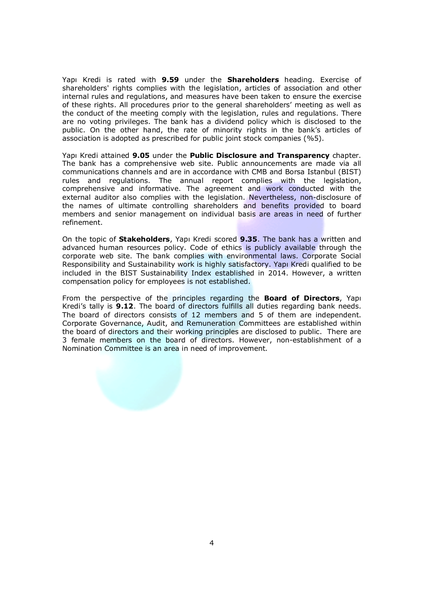Yapı Kredi is rated with **9.59** under the **Shareholders** heading. Exercise of shareholders' rights complies with the legislation, articles of association and other internal rules and regulations, and measures have been taken to ensure the exercise of these rights. All procedures prior to the general shareholders' meeting as well as the conduct of the meeting comply with the legislation, rules and regulations. There are no voting privileges. The bank has a dividend policy which is disclosed to the public. On the other hand, the rate of minority rights in the bank's articles of association is adopted as prescribed for public joint stock companies (%5).

Yapı Kredi attained **9.05** under the **Public Disclosure and Transparency** chapter. The bank has a comprehensive web site. Public announcements are made via all communications channels and are in accordance with CMB and Borsa Istanbul (BIST) rules and regulations. The annual report complies with the legislation, comprehensive and informative. The agreement and work conducted with the external auditor also complies with the legislation. Nevertheless, non-disclosure of the names of ultimate controlling shareholders and benefits provided to board members and senior management on individual basis are areas in need of further refinement.

On the topic of **Stakeholders**, Yapı Kredi scored **9.35**. The bank has a written and advanced human resources policy. Code of ethics is publicly available through the corporate web site. The bank complies with environmental laws. Corporate Social Responsibility and Sustainability work is highly satisfactory. Yapı Kredi qualified to be included in the BIST Sustainability Index established in 2014. However, a written compensation policy for employees is not established.

From the perspective of the principles regarding the **Board of Directors**, Yapı Kredi's tally is **9.12**. The board of directors fulfills all duties regarding bank needs. The board of directors consists of 12 members and 5 of them are independent. Corporate Governance, Audit, and Remuneration Committees are established within the board of directors and their working principles are disclosed to public. There are 3 female members on the board of directors. However, non-establishment of a Nomination Committee is an area in need of improvement.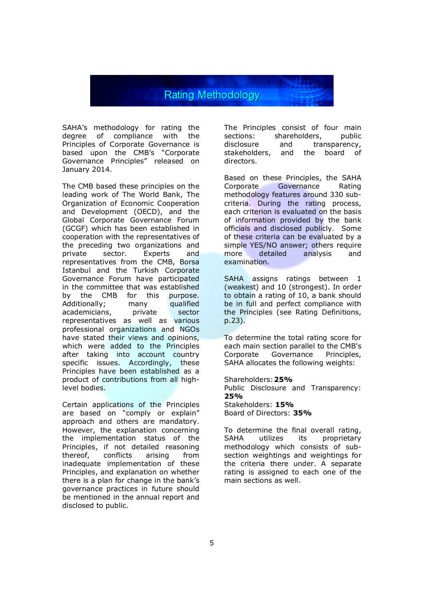Rating Methodology

SAHA's methodology for rating the degree of compliance with the Principles of Corporate Governance is based upon the CMB's "Corporate Governance Principles" released on January 2014.

The CMB based these principles on the leading work of The World Bank, The Organization of Economic Cooperation and Development (OECD), and the Global Corporate Governance Forum (GCGF) which has been established in cooperation with the representatives of the preceding two organizations and private sector. Experts and representatives from the CMB, Borsa Istanbul and the Turkish Corporate Governance Forum have participated in the committee that was established<br>by the CMB for this purpose. by the CMB for this Additionally; many qualified academicians, private sector representatives as well as various professional organizations and NGOs have stated their views and opinions, which were added to the Principles after taking into account country specific issues. Accordingly, these Principles have been established as a product of contributions from all highlevel bodies.

Certain applications of the Principles are based on "comply or explain" approach and others are mandatory. However, the explanation concerning the implementation status of the Principles, if not detailed reasoning thereof, conflicts arising from inadequate implementation of these Principles, and explanation on whether there is a plan for change in the bank's governance practices in future should be mentioned in the annual report and disclosed to public.

The Principles consist of four main sections: shareholders, public disclosure and transparency, stakeholders, and the board of directors.

Based on these Principles, the SAHA Corporate Governance Rating methodology features around 330 subcriteria. During the rating process, each criterion is evaluated on the basis of information provided by the bank officials and disclosed publicly. Some of these criteria can be evaluated by a simple YES/NO answer; others require more detailed analysis and examination.

SAHA assigns ratings between 1 (weakest) and 10 (strongest). In order to obtain a rating of 10, a bank should be in full and perfect compliance with the Principles (see Rating Definitions, p.23).

To determine the total rating score for each main section parallel to the CMB's Corporate Governance Principles, SAHA allocates the following weights:

Shareholders:**25%** Public Disclosure and Transparency: **25%** Stakeholders: **15%** Board of Directors: **35%**

To determine the final overall rating, SAHA utilizes its proprietary methodology which consists of subsection weightings and weightings for the criteria there under. A separate rating is assigned to each one of the main sections as well.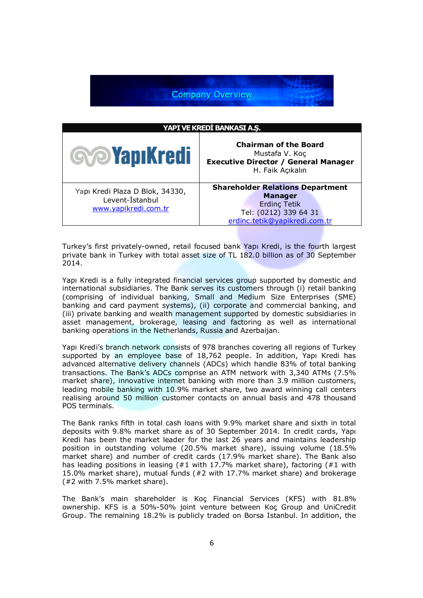**Company Overview** 

| YAPI VE KREDİ BANKASI A.Ş.                                                 |                                                                                                                                            |  |  |
|----------------------------------------------------------------------------|--------------------------------------------------------------------------------------------------------------------------------------------|--|--|
| <b>Sop Yapı Kredi</b>                                                      | <b>Chairman of the Board</b><br>Mustafa V. Koç<br><b>Executive Director / General Manager</b><br>H. Faik Açıkalın                          |  |  |
| Yapı Kredi Plaza D Blok, 34330,<br>Levent-Istanbul<br>www.yapikredi.com.tr | <b>Shareholder Relations Department</b><br><b>Manager</b><br><b>Erdinç Tetik</b><br>Tel: (0212) 339 64 31<br>erdinc.tetik@yapikredi.com.tr |  |  |

Turkey's first privately-owned, retail focused bank Yapı Kredi, is the fourth largest private bank in Turkey with total asset size of TL 182.0 billion as of 30 September 2014.

Yapı Kredi is a fully integrated financial services group supported by domestic and international subsidiaries. The Bank serves its customers through (i) retail banking (comprising of individual banking, Small and Medium Size Enterprises (SME) banking and card payment systems), (ii) corporate and commercial banking, and (iii) private banking and wealth management supported by domestic subsidiaries in asset management, brokerage, leasing and factoring as well as international banking operations in the Netherlands, Russia and Azerbaijan.

Yapı Kredi's branch network consists of 978 branches covering all regions of Turkey supported by an employee base of 18,762 people. In addition, Yapı Kredi has advanced alternative delivery channels (ADCs) which handle 83% of total banking transactions. The Bank's ADCs comprise an ATM network with 3,340 ATMs (7.5% market share), innovative internet banking with more than 3.9 million customers, leading mobile banking with 10.9% market share, two award winning call centers realising around 50 million customer contacts on annual basis and 478 thousand POS terminals.

The Bank ranks fifth in total cash loans with 9.9% market share and sixth in total deposits with 9.8% market share as of 30 September 2014. In credit cards, Yapı Kredi has been the market leader for the last 26 years and maintains leadership position in outstanding volume (20.5% market share), issuing volume (18.5% market share) and number of credit cards (17.9% market share). The Bank also has leading positions in leasing (#1 with 17.7% market share), factoring (#1 with 15.0% market share), mutual funds (#2 with 17.7% market share) and brokerage (#2 with 7.5% market share).

The Bank's main shareholder is Koç Financial Services (KFS) with 81.8% ownership. KFS is a 50%-50% joint venture between Koç Group and UniCredit Group. The remaining 18.2% is publicly traded on Borsa Istanbul. In addition, the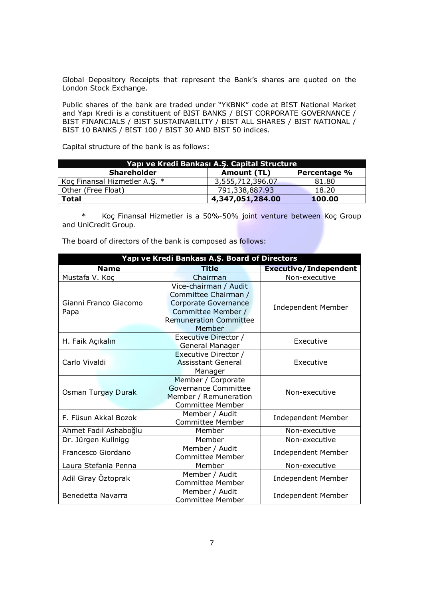Global Depository Receipts that represent the Bank's shares are quoted on the London Stock Exchange.

Public shares of the bank are traded under "YKBNK" code at BIST National Market and Yapı Kredi is a constituent of BIST BANKS / BIST CORPORATE GOVERNANCE / BIST FINANCIALS / BIST SUSTAINABILITY / BIST ALL SHARES / BIST NATIONAL / BIST 10 BANKS / BIST 100 / BIST 30 AND BIST 50 indices.

Capital structure of the bank is as follows:

| Yapı ve Kredi Bankası A.Ş. Capital Structure |                  |              |  |
|----------------------------------------------|------------------|--------------|--|
| <b>Shareholder</b>                           | Amount (TL)      | Percentage % |  |
| Koç Finansal Hizmetler A.S. *                | 3,555,712,396.07 | 81.80        |  |
| Other (Free Float)                           | 791,338,887.93   | 18.20        |  |
| <b>Total</b>                                 | 4,347,051,284.00 | 100.00       |  |

 \* Koç Finansal Hizmetler is a 50%-50% joint venture between Koç Group and UniCredit Group.

|  |  | The board of directors of the bank is composed as follows: |  |
|--|--|------------------------------------------------------------|--|
|--|--|------------------------------------------------------------|--|

| Yapı ve Kredi Bankası A.Ş. Board of Directors |                                                                                                                                        |                              |  |  |
|-----------------------------------------------|----------------------------------------------------------------------------------------------------------------------------------------|------------------------------|--|--|
| <b>Name</b>                                   | Title                                                                                                                                  | <b>Executive/Independent</b> |  |  |
| Mustafa V. Koç                                | Chairman                                                                                                                               | Non-executive                |  |  |
| Gianni Franco Giacomo<br>Papa                 | Vice-chairman / Audit<br>Committee Chairman /<br>Corporate Governance<br>Committee Member /<br><b>Remuneration Committee</b><br>Member | <b>Independent Member</b>    |  |  |
| H. Faik Açıkalın                              | Executive Director /<br>General Manager                                                                                                | Executive                    |  |  |
| Carlo Vivaldi                                 | Executive Director /<br><b>Assisstant General</b><br>Manager                                                                           | Executive                    |  |  |
| Osman Turgay Durak                            | Member / Corporate<br>Governance Committee<br>Member / Remuneration<br><b>Committee Member</b>                                         | Non-executive                |  |  |
| F. Füsun Akkal Bozok                          | Member / Audit<br><b>Committee Member</b>                                                                                              | <b>Independent Member</b>    |  |  |
| Ahmet Fadıl Ashaboğlu                         | Member                                                                                                                                 | Non-executive                |  |  |
| Dr. Jürgen Kullnigg                           | Member                                                                                                                                 | Non-executive                |  |  |
| Francesco Giordano                            | Member / Audit<br>Committee Member                                                                                                     | <b>Independent Member</b>    |  |  |
| Laura Stefania Penna                          | Member                                                                                                                                 | Non-executive                |  |  |
| Adil Giray Öztoprak                           | Member / Audit<br>Committee Member                                                                                                     | <b>Independent Member</b>    |  |  |
| Benedetta Navarra                             | Member / Audit<br><b>Committee Member</b>                                                                                              | <b>Independent Member</b>    |  |  |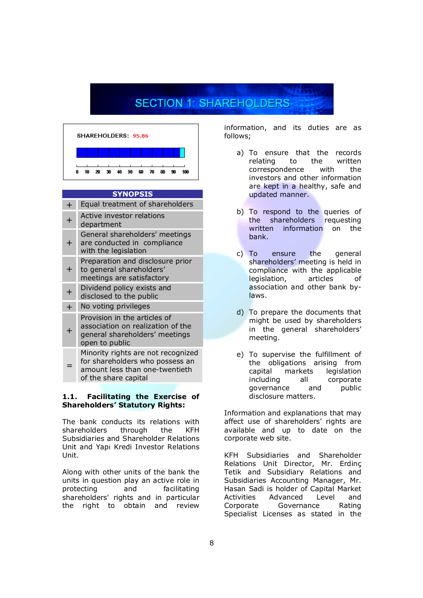# **SECTION 1: SHAREHOLDERS**



### **SYNOPSIS**

| ┿                | Equal treatment of shareholders                                                                                                 |
|------------------|---------------------------------------------------------------------------------------------------------------------------------|
| $\ddag$          | Active investor relations<br>department                                                                                         |
| ┿                | General shareholders' meetings<br>are conducted in compliance<br>with the legislation                                           |
| $\pm$            | Preparation and disclosure prior<br>to general shareholders'<br>meetings are satisfactory                                       |
| $\boldsymbol{+}$ | Dividend policy exists and<br>disclosed to the public                                                                           |
| $\pm$            | No voting privileges                                                                                                            |
|                  | Provision in the articles of<br>association on realization of the<br>general shareholders' meetings<br>open to public           |
|                  | Minority rights are not recognized<br>for shareholders who possess an<br>amount less than one-twentieth<br>of the share capital |

#### **1.1. Facilitating the Exercise of Shareholders' Statutory Rights:**

The bank conducts its relations with shareholders through the KFH Subsidiaries and Shareholder Relations Unit and Yapı Kredi Investor Relations Unit.

Along with other units of the bank the units in question play an active role in protecting and facilitating shareholders' rights and in particular the right to obtain and review

information, and its duties are as follows;

- a) To ensure that the records<br>relating to the written relating to the correspondence with the investors and other information are kept in a healthy, safe and updated manner.
- b) To respond to the queries of the shareholders requesting written information on the bank.
- c) To ensure the general shareholders' meeting is held in compliance with the applicable legislation, articles of association and other bank bylaws.
- d) To prepare the documents that might be used by shareholders in the general shareholders' meeting.
- e) To supervise the fulfillment of the obligations arising from capital markets legislation including all corporate governance and public disclosure matters.

Information and explanations that may affect use of shareholders' rights are available and up to date on the corporate web site.

KFH Subsidiaries and Shareholder Relations Unit Director, Mr. Erdinç Tetik and Subsidiary Relations and Subsidiaries Accounting Manager, Mr. Hasan Sadi is holder of Capital Market Activities Advanced Level and Corporate Governance Rating Specialist Licenses as stated in the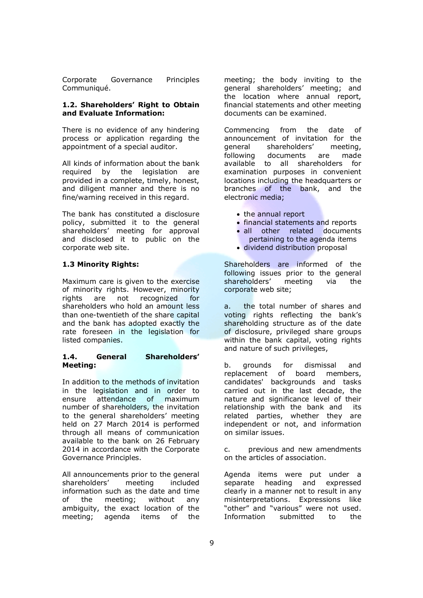Corporate Governance Principles Communiqué.

#### **1.2. Shareholders' Right to Obtain and Evaluate Information:**

There is no evidence of any hindering process or application regarding the appointment of a special auditor.

All kinds of information about the bank required by the legislation are provided in a complete, timely, honest, and diligent manner and there is no fine/warning received in this regard.

The bank has constituted a disclosure policy, submitted it to the general shareholders' meeting for approval and disclosed it to public on the corporate web site.

## **1.3 Minority Rights:**

Maximum care is given to the exercise of minority rights. However, minority rights are not recognized for shareholders who hold an amount less than one-twentieth of the share capital and the bank has adopted exactly the rate foreseen in the legislation for listed companies.

#### **1.4. General Shareholders' Meeting:**

In addition to the methods of invitation in the legislation and in order to<br>ensure attendance of maximum ensure attendance number of shareholders, the invitation to the general shareholders' meeting held on 27 March 2014 is performed through all means of communication available to the bank on 26 February 2014 in accordance with the Corporate Governance Principles.

All announcements prior to the general shareholders' meeting included information such as the date and time of the meeting; without any ambiguity, the exact location of the meeting; agenda items of the

meeting; the body inviting to the general shareholders' meeting; and the location where annual report, financial statements and other meeting documents can be examined.

Commencing from the date of announcement of invitation for the general shareholders' meeting, following documents are made available to all shareholders for examination purposes in convenient locations including the headquarters or branches of the bank, and the electronic media;

- the annual report
- financial statements and reports
- all other related documents
- pertaining to the agenda items
- dividend distribution proposal

Shareholders are informed of the following issues prior to the general shareholders' meeting via the corporate web site;

a. the total number of shares and voting rights reflecting the bank's shareholding structure as of the date of disclosure, privileged share groups within the bank capital, voting rights and nature of such privileges,

b. grounds for dismissal and replacement of board members, candidates' backgrounds and tasks carried out in the last decade, the nature and significance level of their relationship with the bank and its related parties, whether they are independent or not, and information on similar issues.

c. previous and new amendments on the articles of association.

Agenda items were put under a separate heading and expressed clearly in a manner not to result in any misinterpretations. Expressions like "other" and "various" were not used. Information submitted to the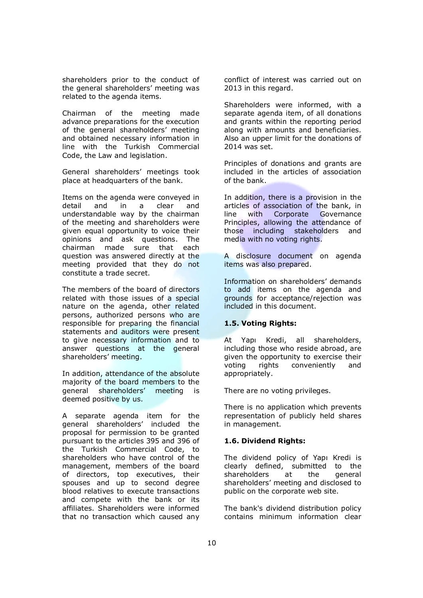shareholders prior to the conduct of the general shareholders' meeting was related to the agenda items.

Chairman of the meeting made advance preparations for the execution of the general shareholders' meeting and obtained necessary information in line with the Turkish Commercial Code, the Law and legislation.

General shareholders' meetings took place at headquarters of the bank.

Items on the agenda were conveyed in detail and in a clear and understandable way by the chairman of the meeting and shareholders were given equal opportunity to voice their opinions and ask questions. The chairman made sure that each question was answered directly at the meeting provided that they do not constitute a trade secret.

The members of the board of directors related with those issues of a special nature on the agenda, other related persons, authorized persons who are responsible for preparing the financial statements and auditors were present to give necessary information and to answer questions at the general shareholders' meeting.

In addition, attendance of the absolute majority of the board members to the general shareholders' meeting is deemed positive by us.

A separate agenda item for the general shareholders' included the proposal for permission to be granted pursuant to the articles 395 and 396 of the Turkish Commercial Code, to shareholders who have control of the management, members of the board of directors, top executives, their spouses and up to second degree blood relatives to execute transactions and compete with the bank or its affiliates. Shareholders were informed that no transaction which caused any

conflict of interest was carried out on 2013 in this regard.

Shareholders were informed, with a separate agenda item, of all donations and grants within the reporting period along with amounts and beneficiaries. Also an upper limit for the donations of 2014 was set.

Principles of donations and grants are included in the articles of association of the bank.

In addition, there is a provision in the articles of association of the bank, in line with Corporate Governance Principles, allowing the attendance of those including stakeholders and media with no voting rights.

A disclosure document on agenda items was also prepared.

Information on shareholders' demands to add items on the agenda and grounds for acceptance/rejection was included in this document.

# **1.5. Voting Rights:**

At Yapı Kredi, all shareholders, including those who reside abroad, are given the opportunity to exercise their voting rights conveniently and appropriately.

There are no voting privileges.

There is no application which prevents representation of publicly held shares in management.

## **1.6. Dividend Rights:**

The dividend policy of Yapı Kredi is clearly defined, submitted to the shareholders at the general shareholders' meeting and disclosed to public on the corporate web site.

The bank's dividend distribution policy contains minimum information clear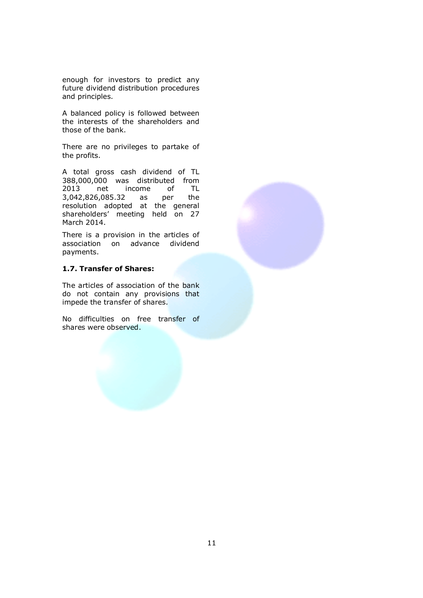enough for investors to predict any future dividend distribution procedures and principles.

A balanced policy is followed between the interests of the shareholders and those of the bank.

There are no privileges to partake of the profits.

A total gross cash dividend of TL 388,000,000 was distributed from 2013 net income of TL 3,042,826,085.32 as per the resolution adopted at the general shareholders' meeting held on 27 March 2014.

There is a provision in the articles of association on advance dividend payments.

# **1.7. Transfer of Shares:**

The articles of association of the bank do not contain any provisions that impede the transfer of shares.

No difficulties on free transfer of shares were observed.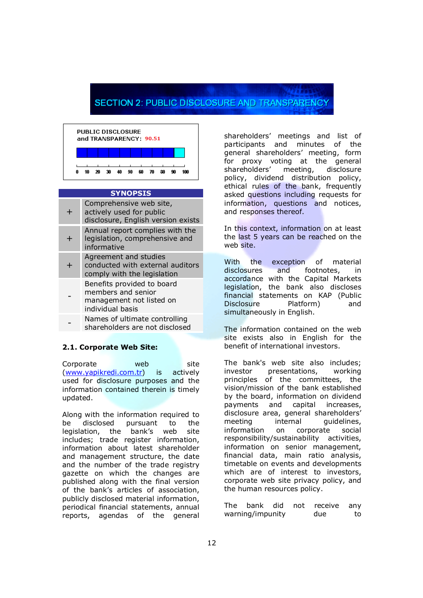# **SECTION 2: PUBLIC DISCLOSURE AND TRANSPARENC**



#### **SYNOPSIS**

| ╄ | Comprehensive web site,<br>actively used for public<br>disclosure, English version exists        |
|---|--------------------------------------------------------------------------------------------------|
| ╄ | Annual report complies with the<br>legislation, comprehensive and<br>informative                 |
| ╇ | Agreement and studies<br>conducted with external auditors<br>comply with the legislation         |
|   | Benefits provided to board<br>members and senior<br>management not listed on<br>individual basis |
|   | Names of ultimate controlling                                                                    |

 shareholders are not disclosed

# **2.1. Corporate Web Site:**

Corporate web site (www.yapikredi.com.tr) is actively used for disclosure purposes and the information contained therein is timely updated.

Along with the information required to<br>be disclosed pursuant to the be disclosed pursuant to the legislation, the bank's web site includes; trade register information, information about latest shareholder and management structure, the date and the number of the trade registry gazette on which the changes are published along with the final version of the bank's articles of association, publicly disclosed material information, periodical financial statements, annual reports, agendas of the general

shareholders' meetings and list of participants and minutes of the general shareholders' meeting, form for proxy voting at the general shareholders' meeting, disclosure policy, dividend distribution policy, ethical rules of the bank, frequently asked questions including requests for information, questions and notices, and responses thereof.

In this context, information on at least the last 5 years can be reached on the web site.

With the exception of material disclosures and footnotes, in accordance with the Capital Markets legislation, the bank also discloses financial statements on KAP (Public Disclosure Platform) and simultaneously in English.

The information contained on the web site exists also in English for the benefit of international investors.

The bank's web site also includes; investor presentations, working principles of the committees, the vision/mission of the bank established by the board, information on dividend payments and capital increases, disclosure area, general shareholders' meeting internal quidelines, information on corporate social responsibility/sustainability activities, information on senior management, financial data, main ratio analysis, timetable on events and developments which are of interest to investors, corporate web site privacy policy, and the human resources policy.

The bank did not receive any warning/impunity due to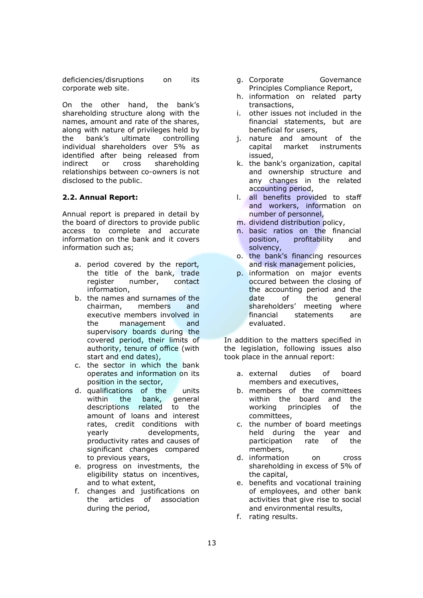deficiencies/disruptions on its corporate web site.

On the other hand, the bank's shareholding structure along with the names, amount and rate of the shares, along with nature of privileges held by the bank's ultimate controlling individual shareholders over 5% as identified after being released from indirect or cross shareholding relationships between co-owners is not disclosed to the public.

## **2.2. Annual Report:**

Annual report is prepared in detail by the board of directors to provide public access to complete and accurate information on the bank and it covers information such as;

- a. period covered by the report, the title of the bank, trade register number, contact information,
- b. the names and surnames of the chairman, members and executive members involved in the management and supervisory boards during the covered period, their limits of authority, tenure of office (with start and end dates),
- c. the sector in which the bank operates and information on its position in the sector,
- d. qualifications of the units within the bank, general descriptions related to the amount of loans and interest rates, credit conditions with yearly developments, productivity rates and causes of significant changes compared to previous years,
- e. progress on investments, the eligibility status on incentives, and to what extent,
- f. changes and justifications on the articles of association during the period,
- g. Corporate Governance Principles Compliance Report,
- h. information on related party transactions,
- i. other issues not included in the financial statements, but are beneficial for users,
- j. nature and amount of the capital market instruments issued,
- k. the bank's organization, capital and ownership structure and any changes in the related accounting period,
- l. all benefits provided to staff and workers, information on number of personnel,
- m. dividend distribution policy,
- n. basic ratios on the financial position, profitability and solvency,
- o. the bank's financing resources and risk management policies,
- p. information on major events occured between the closing of the accounting period and the date of the general shareholders' meeting where financial statements are evaluated.

In addition to the matters specified in the legislation, following issues also took place in the annual report:

- a. external duties of board members and executives,
- b. members of the committees within the board and the working principles of the committees,
- c. the number of board meetings held during the year and participation rate of the members,
- d. information on cross shareholding in excess of 5% of the capital,
- e. benefits and vocational training of employees, and other bank activities that give rise to social and environmental results,
- f. rating results.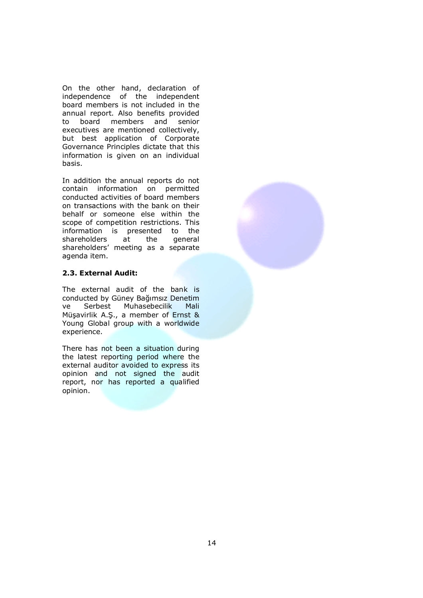On the other hand, declaration of independence of the independent board members is not included in the annual report. Also benefits provided to board members and senior executives are mentioned collectively, but best application of Corporate Governance Principles dictate that this information is given on an individual basis.

In addition the annual reports do not contain information on permitted conducted activities of board members on transactions with the bank on their behalf or someone else within the scope of competition restrictions. This information is presented to the<br>shareholders at the general shareholders at the shareholders' meeting as a separate agenda item.

# **2.3. External Audit:**

The external audit of the bank is conducted by Güney Bağımsız Denetim ve Serbest Muhasebecilik Mali Müşavirlik A.Ş., a member of Ernst & Young Global group with a worldwide experience.

There has not been a situation during the latest reporting period where the external auditor avoided to express its opinion and not signed the audit report, nor has reported a qualified opinion.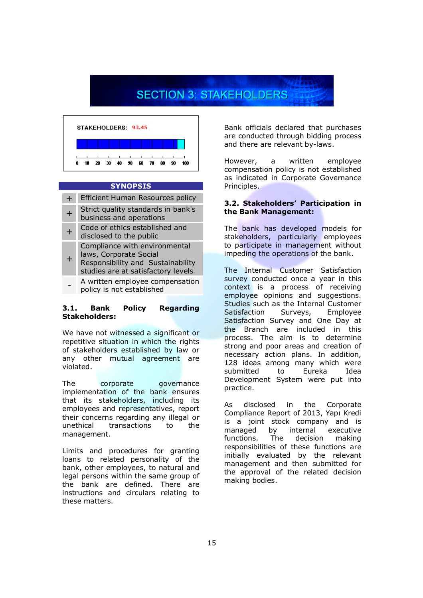# **SECTION 3: STAKEHOLDERS**



#### **SYNOPSIS**

- + Efficient Human Resources policy
- + Strict quality standards in bank's business and operations
- $+$ Code of ethics established and disclosed to the public
- Compliance with environmental laws, Corporate Social
- + Responsibility and Sustainability studies are at satisfactory levels
- A written employee compensation policy is not established

### **3.1. Bank Policy Regarding Stakeholders:**

We have not witnessed a significant or repetitive situation in which the rights of stakeholders established by law or any other mutual agreement are violated.

The corporate governance implementation of the bank ensures that its stakeholders, including its employees and representatives, report their concerns regarding any illegal or unethical transactions to the management.

Limits and procedures for granting loans to related personality of the bank, other employees, to natural and legal persons within the same group of the bank are defined. There are instructions and circulars relating to these matters.

Bank officials declared that purchases are conducted through bidding process and there are relevant by-laws.

However, a written employee compensation policy is not established as indicated in Corporate Governance Principles.

#### **3.2. Stakeholders' Participation in the Bank Management:**

The bank has developed models for stakeholders, particularly employees to participate in management without impeding the operations of the bank.

The Internal Customer Satisfaction survey conducted once a year in this context is a process of receiving employee opinions and suggestions. Studies such as the Internal Customer Satisfaction Surveys, Employee Satisfaction Survey and One Day at the Branch are included in this process. The aim is to determine strong and poor areas and creation of necessary action plans. In addition, 128 ideas among many which were submitted to Eureka Idea Development System were put into practice.

As disclosed in the Corporate Compliance Report of 2013, Yapı Kredi is a joint stock company and is managed by internal executive functions. The decision making responsibilities of these functions are initially evaluated by the relevant management and then submitted for the approval of the related decision making bodies.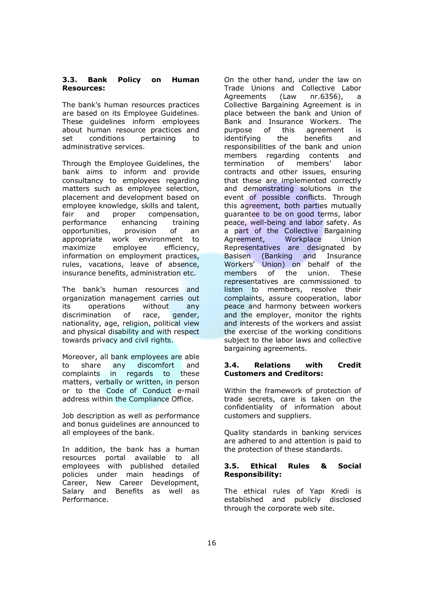#### **3.3. Bank Policy on Human Resources:**

The bank's human resources practices are based on its Employee Guidelines. These guidelines inform employees about human resource practices and set conditions pertaining to administrative services.

Through the Employee Guidelines, the bank aims to inform and provide consultancy to employees regarding matters such as employee selection, placement and development based on employee knowledge, skills and talent, fair and proper compensation, performance enhancing training opportunities, provision of an appropriate work environment to maximize employee efficiency, information on employment practices, rules, vacations, leave of absence, insurance benefits, administration etc.

The bank's human resources and organization management carries out its operations without any discrimination of race, gender, nationality, age, religion, political view and physical disability and with respect towards privacy and civil rights.

Moreover, all bank employees are able to share any discomfort and complaints in regards to these matters, verbally or written, in person or to the Code of Conduct e-mail address within the Compliance Office.

Job description as well as performance and bonus guidelines are announced to all employees of the bank.

In addition, the bank has a human resources portal available to all employees with published detailed policies under main headings of Career, New Career Development, Salary and Benefits as well as Performance.

On the other hand, under the law on Trade Unions and Collective Labor Agreements (Law nr.6356), a Collective Bargaining Agreement is in place between the bank and Union of Bank and Insurance Workers. The purpose of this agreement is identifying the benefits and responsibilities of the bank and union members regarding contents and termination of members' labor contracts and other issues, ensuring that these are implemented correctly and demonstrating solutions in the event of possible conflicts. Through this agreement, both parties mutually guarantee to be on good terms, labor peace, well-being and labor safety. As a part of the Collective Bargaining Agreement, Workplace Union Representatives are designated by Basisen (Banking and Insurance Workers' Union) on behalf of the members of the union. These representatives are commissioned to listen to members, resolve their complaints, assure cooperation, labor peace and harmony between workers and the employer, monitor the rights and interests of the workers and assist the exercise of the working conditions subject to the labor laws and collective bargaining agreements.

#### **3.4. Relations with Credit Customers and Creditors:**

Within the framework of protection of trade secrets, care is taken on the confidentiality of information about customers and suppliers.

Quality standards in banking services are adhered to and attention is paid to the protection of these standards.

#### **3.5. Ethical Rules & Social Responsibility:**

The ethical rules of Yapı Kredi is established and publicly disclosed through the corporate web site.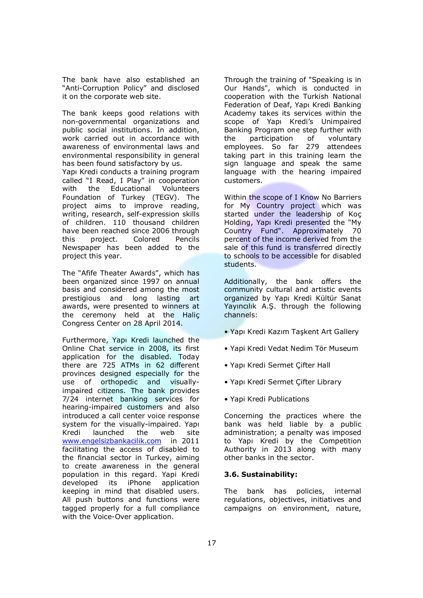The bank have also established an "Anti-Corruption Policy" and disclosed it on the corporate web site.

The bank keeps good relations with non-governmental organizations and public social institutions. In addition, work carried out in accordance with awareness of environmental laws and environmental responsibility in general has been found satisfactory by us.

Yapı Kredi conducts a training program called "I Read, I Play" in cooperation with the Educational Volunteers Foundation of Turkey (TEGV). The project aims to improve reading, writing, research, self-expression skills of children. 110 thousand children have been reached since 2006 through this project. Colored Pencils Newspaper has been added to the project this year.

The "Afife Theater Awards", which has been organized since 1997 on annual basis and considered among the most prestigious and long lasting art awards, were presented to winners at the ceremony held at the Haliç Congress Center on 28 April 2014.

Furthermore, Yapı Kredi launched the Online Chat service in 2008, its first application for the disabled. Today there are 725 ATMs in 62 different provinces designed especially for the use of orthopedic and visuallyimpaired citizens. The bank provides 7/24 internet banking services for hearing-impaired customers and also introduced a call center voice response system for the visually-impaired. Yapı Kredi launched the web site www.engelsizbankacilik.com in 2011 facilitating the access of disabled to the financial sector in Turkey, aiming to create awareness in the general population in this regard. Yapi Kredi developed its iPhone application keeping in mind that disabled users. All push buttons and functions were tagged properly for a full compliance with the Voice-Over application.

Through the training of "Speaking is in Our Hands", which is conducted in cooperation with the Turkish National Federation of Deaf, Yapı Kredi Banking Academy takes its services within the scope of Yapı Kredi's Unimpaired Banking Program one step further with the participation of voluntary employees. So far 279 attendees taking part in this training learn the sign language and speak the same language with the hearing impaired customers.

Within the scope of I Know No Barriers for My Country project which was started under the leadership of Koç Holding, Yapı Kredi presented the "My Country Fund". Approximately 70 percent of the income derived from the sale of this fund is transferred directly to schools to be accessible for disabled students.

Additionally, the bank offers the community cultural and artistic events organized by Yapı Kredi Kültür Sanat Yayıncılık A.Ş. through the following channels:

- Yapı Kredi Kazım Taşkent Art Gallery
- Yapi Kredi Vedat Nedim Tör Museum
- Yapı Kredi Sermet Çifter Hall
- Yapı Kredi Sermet Çifter Library
- Yapi Kredi Publications

Concerning the practices where the bank was held liable by a public administration; a penalty was imposed to Yapı Kredi by the Competition Authority in 2013 along with many other banks in the sector.

#### **3.6. Sustainability:**

The bank has policies, internal regulations, objectives, initiatives and campaigns on environment, nature,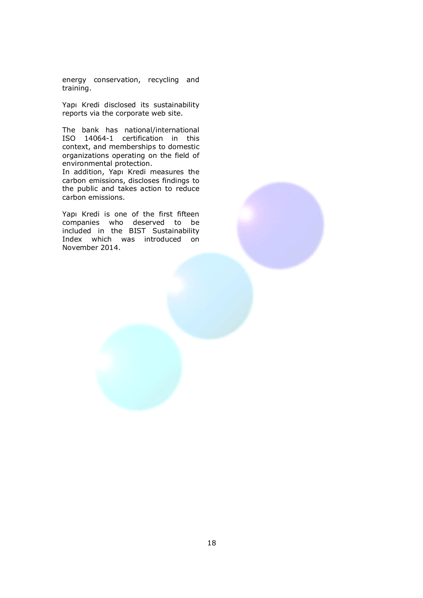energy conservation, recycling and training.

Yapı Kredi disclosed its sustainability reports via the corporate web site.

The bank has national/international ISO 14064-1 certification in this context, and memberships to domestic organizations operating on the field of environmental protection.

In addition, Yapı Kredi measures the carbon emissions, discloses findings to the public and takes action to reduce carbon emissions.

Yapı Kredi is one of the first fifteen companies who deserved to be included in the BIST Sustainability Index which was introduced on November 2014.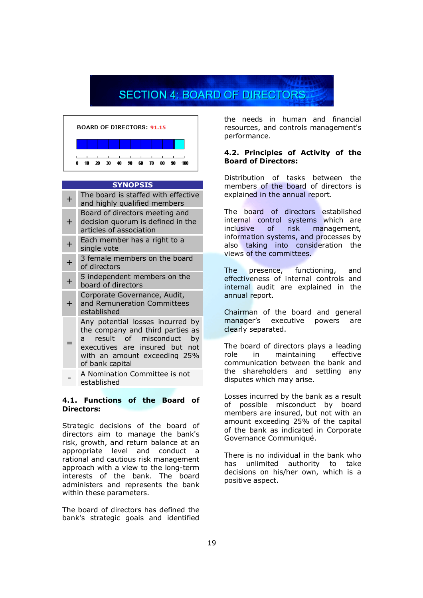# **SECTION 4: BOARD OF DIRECTORS**



#### **SYNOPSIS**

| $\boldsymbol{+}$ | The board is staffed with effective<br>and highly qualified members                                                                                                                                     |
|------------------|---------------------------------------------------------------------------------------------------------------------------------------------------------------------------------------------------------|
| ┿                | Board of directors meeting and<br>decision quorum is defined in the<br>articles of association                                                                                                          |
|                  | Each member has a right to a<br>single vote                                                                                                                                                             |
|                  | 3 female members on the board<br>of directors                                                                                                                                                           |
| $\overline{+}$   | 5 independent members on the<br>board of directors                                                                                                                                                      |
| ┿                | Corporate Governance, Audit,<br>and Remuneration Committees<br>established                                                                                                                              |
|                  | Any potential losses incurred by<br>the company and third parties as<br>result of misconduct<br>by<br>$\mathsf{a}$<br>executives are insured but not<br>with an amount exceeding 25%<br>of bank capital |
|                  | A Nomination Committee is not                                                                                                                                                                           |

#### **4.1. Functions of the Board of Directors:**

Strategic decisions of the board of directors aim to manage the bank's risk, growth, and return balance at an appropriate level and conduct a rational and cautious risk management approach with a view to the long-term interests of the bank. The board administers and represents the bank within these parameters.

The board of directors has defined the bank's strategic goals and identified

the needs in human and financial resources, and controls management's performance.

#### **4.2. Principles of Activity of the Board of Directors:**

Distribution of tasks between the members of the board of directors is explained in the annual report.

The board of directors established internal control systems which are inclusive of risk management, information systems, and processes by also taking into consideration the views of the committees.

The presence, functioning, and effectiveness of internal controls and internal audit are explained in the annual report.

Chairman of the board and general manager's executive powers are clearly separated.

The board of directors plays a leading role in maintaining effective communication between the bank and the shareholders and settling any disputes which may arise.

Losses incurred by the bank as a result of possible misconduct by board members are insured, but not with an amount exceeding 25% of the capital of the bank as indicated in Corporate Governance Communiqué.

There is no individual in the bank who has unlimited authority to take decisions on his/her own, which is a positive aspect.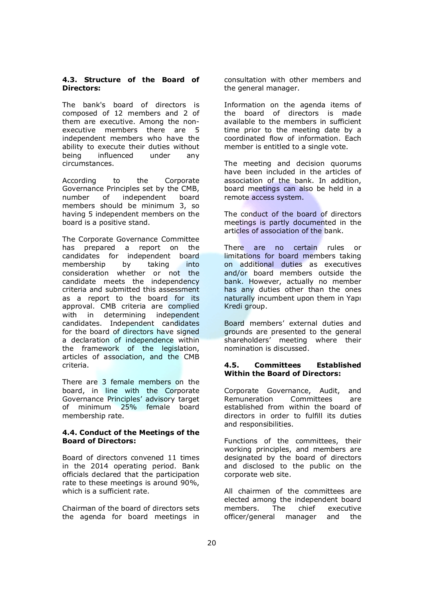#### **4.3. Structure of the Board of Directors:**

The bank's board of directors is composed of 12 members and 2 of them are executive. Among the nonexecutive members there are 5 independent members who have the ability to execute their duties without being influenced under any circumstances.

According to the Corporate Governance Principles set by the CMB, number of independent board members should be minimum 3, so having 5 independent members on the board is a positive stand.

The Corporate Governance Committee has prepared a report on the candidates for independent board membership by taking into consideration whether or not the candidate meets the independency criteria and submitted this assessment as a report to the board for its approval. CMB criteria are complied with in determining independent candidates. Independent candidates for the board of directors have signed a declaration of independence within the framework of the legislation, articles of association, and the CMB criteria.

There are 3 female members on the board, in line with the Corporate Governance Principles' advisory target of minimum 25% female board membership rate.

#### **4.4. Conduct of the Meetings of the Board of Directors:**

Board of directors convened 11 times in the 2014 operating period. Bank officials declared that the participation rate to these meetings is around 90%, which is a sufficient rate.

Chairman of the board of directors sets the agenda for board meetings in consultation with other members and the general manager.

Information on the agenda items of the board of directors is made available to the members in sufficient time prior to the meeting date by a coordinated flow of information. Each member is entitled to a single vote.

The meeting and decision quorums have been included in the articles of association of the bank. In addition, board meetings can also be held in a remote access system.

The conduct of the board of directors meetings is partly documented in the articles of association of the bank.

There are no certain rules or limitations for board members taking on additional duties as executives and/or board members outside the bank. However, actually no member has any duties other than the ones naturally incumbent upon them in Yapı Kredi group.

Board members' external duties and grounds are presented to the general shareholders' meeting where their nomination is discussed.

## **4.5. Committees Established Within the Board of Directors:**

Corporate Governance, Audit, and Remuneration Committees are established from within the board of directors in order to fulfill its duties and responsibilities.

Functions of the committees, their working principles, and members are designated by the board of directors and disclosed to the public on the corporate web site.

All chairmen of the committees are elected among the independent board members. The chief executive officer/general manager and the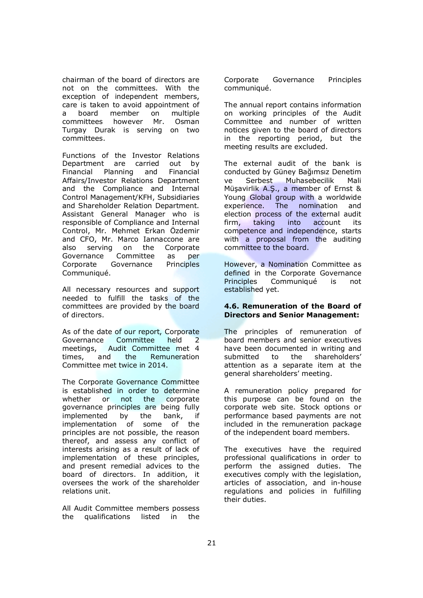chairman of the board of directors are not on the committees. With the exception of independent members, care is taken to avoid appointment of a board member on multiple committees however Mr. Osman Turgay Durak is serving on two committees.

Functions of the Investor Relations Department are carried out by Financial Planning and Financial Affairs/Investor Relations Department and the Compliance and Internal Control Management/KFH, Subsidiaries and Shareholder Relation Department. Assistant General Manager who is responsible of Compliance and Internal Control, Mr. Mehmet Erkan Özdemir and CFO, Mr. Marco Iannaccone are also serving on the Corporate Governance Committee as per Corporate Governance Principles Communiqué.

All necessary resources and support needed to fulfill the tasks of the committees are provided by the board of directors.

As of the date of our report, Corporate<br>Governance Committee held 2 Governance Committee held 2 meetings, Audit Committee met 4 times, and the Remuneration Committee met twice in 2014.

The Corporate Governance Committee is established in order to determine whether or not the corporate governance principles are being fully implemented by the bank, if implementation of some of the principles are not possible, the reason thereof, and assess any conflict of interests arising as a result of lack of implementation of these principles, and present remedial advices to the board of directors. In addition, it oversees the work of the shareholder relations unit.

All Audit Committee members possess the qualifications listed in the Corporate Governance Principles communiqué.

The annual report contains information on working principles of the Audit Committee and number of written notices given to the board of directors in the reporting period, but the meeting results are excluded.

The external audit of the bank is conducted by Güney Bağımsız Denetim ve Serbest Muhasebecilik Mali Müşavirlik A.Ş., a member of Ernst & Young Global group with a worldwide experience. The nomination and election process of the external audit firm, taking into account its competence and independence, starts with a proposal from the auditing committee to the board.

However, a Nomination Committee as defined in the Corporate Governance Principles Communiqué is not established yet.

### **4.6. Remuneration of the Board of Directors and Senior Management:**

The principles of remuneration of board members and senior executives have been documented in writing and submitted to the shareholders' attention as a separate item at the general shareholders' meeting.

A remuneration policy prepared for this purpose can be found on the corporate web site. Stock options or performance based payments are not included in the remuneration package of the independent board members.

The executives have the required professional qualifications in order to perform the assigned duties. The executives comply with the legislation, articles of association, and in-house regulations and policies in fulfilling their duties.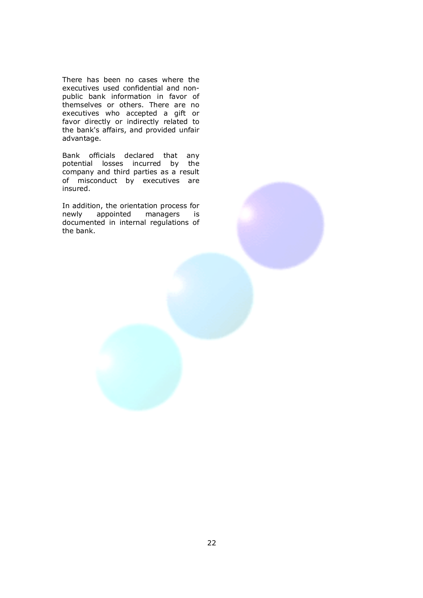There has been no cases where the executives used confidential and nonpublic bank information in favor of themselves or others. There are no executives who accepted a gift or favor directly or indirectly related to the bank's affairs, and provided unfair advantage.

Bank officials declared that any potential losses incurred by the company and third parties as a result of misconduct by executives are insured.

In addition, the orientation process for newly appointed managers is documented in internal regulations of the bank.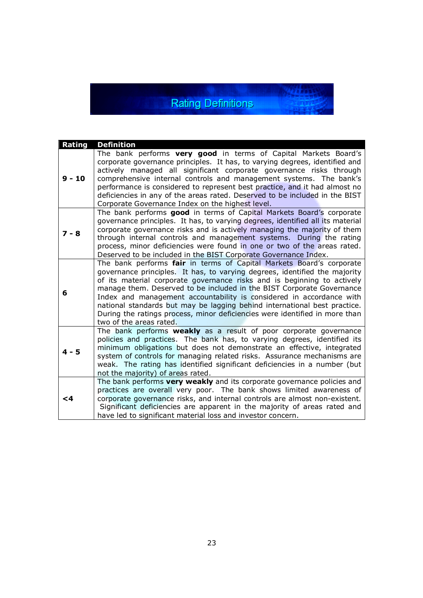# **Rating Definitions**

**Alters** 

| Rating   | <b>Definition</b>                                                                                                                                                                                                                                                                                                                                                                                                                                                                                                                                                     |
|----------|-----------------------------------------------------------------------------------------------------------------------------------------------------------------------------------------------------------------------------------------------------------------------------------------------------------------------------------------------------------------------------------------------------------------------------------------------------------------------------------------------------------------------------------------------------------------------|
| $9 - 10$ | The bank performs very good in terms of Capital Markets Board's<br>corporate governance principles. It has, to varying degrees, identified and<br>actively managed all significant corporate governance risks through<br>comprehensive internal controls and management systems. The bank's<br>performance is considered to represent best practice, and it had almost no<br>deficiencies in any of the areas rated. Deserved to be included in the BIST<br>Corporate Governance Index on the highest level.                                                          |
| $7 - 8$  | The bank performs good in terms of Capital Markets Board's corporate<br>governance principles. It has, to varying degrees, identified all its material<br>corporate governance risks and is actively managing the majority of them<br>through internal controls and management systems. During the rating<br>process, minor deficiencies were found in one or two of the areas rated.<br>Deserved to be included in the BIST Corporate Governance Index.                                                                                                              |
| 6        | The bank performs fair in terms of Capital Markets Board's corporate<br>governance principles. It has, to varying degrees, identified the majority<br>of its material corporate governance risks and is beginning to actively<br>manage them. Deserved to be included in the BIST Corporate Governance<br>Index and management accountability is considered in accordance with<br>national standards but may be lagging behind international best practice.<br>During the ratings process, minor deficiencies were identified in more than<br>two of the areas rated. |
| $4 - 5$  | The bank performs <b>weakly</b> as a result of poor corporate governance<br>policies and practices. The bank has, to varying degrees, identified its<br>minimum obligations but does not demonstrate an effective, integrated<br>system of controls for managing related risks. Assurance mechanisms are<br>weak. The rating has identified significant deficiencies in a number (but<br>not the majority) of areas rated.                                                                                                                                            |
| $\leq 4$ | The bank performs very weakly and its corporate governance policies and<br>practices are overall very poor. The bank shows limited awareness of<br>corporate governance risks, and internal controls are almost non-existent.<br>Significant deficiencies are apparent in the majority of areas rated and<br>have led to significant material loss and investor concern.                                                                                                                                                                                              |